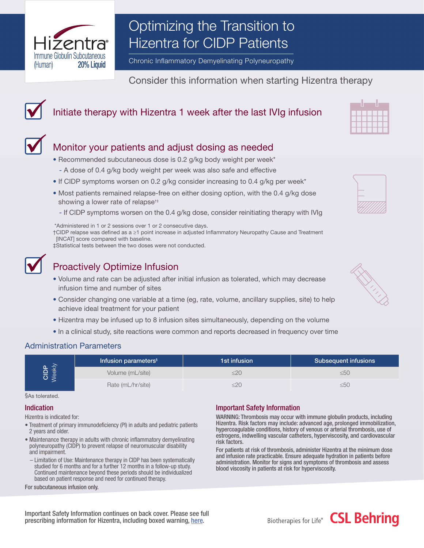

# Optimizing the Transition to Hizentra for CIDP Patients

Chronic Inflammatory Demyelinating Polyneuropathy

Consider this information when starting Hizentra therapy

# Initiate therapy with Hizentra 1 week after the last IVIg infusion



## Monitor your patients and adjust dosing as needed

- Recommended subcutaneous dose is 0.2 g/kg body weight per week\*
	- A dose of 0.4 g/kg body weight per week was also safe and effective
- If CIDP symptoms worsen on 0.2 g/kg consider increasing to 0.4 g/kg per week\*
- Most patients remained relapse-free on either dosing option, with the 0.4 g/kg dose showing a lower rate of relapse<sup>†‡</sup>
	- If CIDP symptoms worsen on the 0.4 g/kg dose, consider reinitiating therapy with IVIg

\*Administered in 1 or 2 sessions over 1 or 2 consecutive days.

†CIDP relapse was defined as a ≥1 point increase in adjusted Inflammatory Neuropathy Cause and Treatment [INCAT] score compared with baseline.

‡Statistical tests between the two doses were not conducted.



### Proactively Optimize Infusion

- Volume and rate can be adjusted after initial infusion as tolerated, which may decrease infusion time and number of sites
- Consider changing one variable at a time (eg, rate, volume, ancillary supplies, site) to help achieve ideal treatment for your patient
- Hizentra may be infused up to 8 infusion sites simultaneously, depending on the volume
- In a clinical study, site reactions were common and reports decreased in frequency over time

### Administration Parameters

| $GIDP$<br>$Meek$ | Infusion parameters <sup>§</sup> | 1st infusion | Subsequent infusions |
|------------------|----------------------------------|--------------|----------------------|
|                  | Volume (mL/site)                 | $\leq$ 20    | ≤5(                  |
|                  | Rate (mL/hr/site)                | ≤20          | ≤5C                  |

§As tolerated.

#### Indication

Hizentra is indicated for:

- Treatment of primary immunodeficiency (PI) in adults and pediatric patients 2 years and older.
- Maintenance therapy in adults with chronic inflammatory demyelinating polyneuropathy (CIDP) to prevent relapse of neuromuscular disability and impairment.
	- Limitation of Use: Maintenance therapy in CIDP has been systematically studied for 6 months and for a further 12 months in a follow-up study. Continued maintenance beyond these periods should be individualized based on patient response and need for continued therapy.

#### For subcutaneous infusion only.

### Important Safety Information

WARNING: Thrombosis may occur with immune globulin products, including Hizentra. Risk factors may include: advanced age, prolonged immobilization, hypercoagulable conditions, history of venous or arterial thrombosis, use of estrogens, indwelling vascular catheters, hyperviscosity, and cardiovascular risk factors.

For patients at risk of thrombosis, administer Hizentra at the minimum dose and infusion rate practicable. Ensure adequate hydration in patients before administration. Monitor for signs and symptoms of thrombosis and assess blood viscosity in patients at risk for hyperviscosity.





| Biotherapies for Life® | <b>CSL Behring</b> |  |  |  |
|------------------------|--------------------|--|--|--|
|                        |                    |  |  |  |